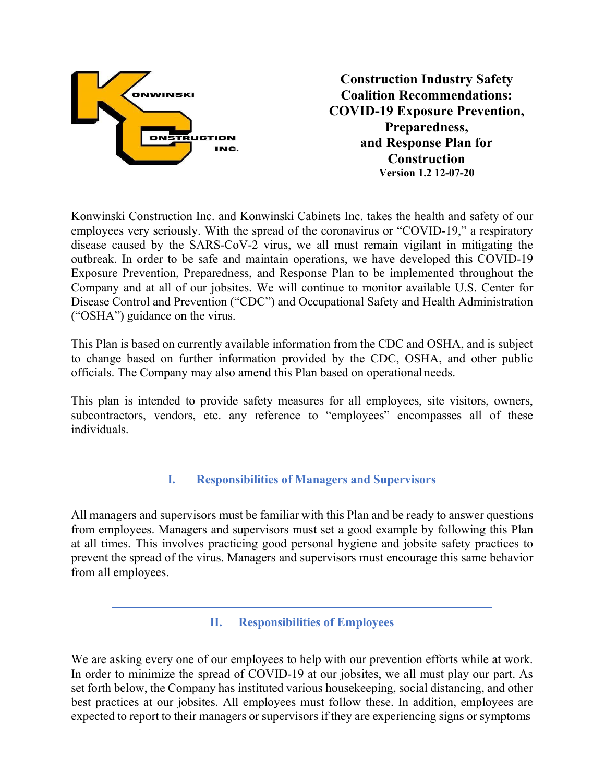

Konwinski Construction Inc. and Konwinski Cabinets Inc. takes the health and safety of our employees very seriously. With the spread of the coronavirus or "COVID-19," a respiratory disease caused by the SARS-CoV-2 virus, we all must remain vigilant in mitigating the outbreak. In order to be safe and maintain operations, we have developed this COVID-19 Exposure Prevention, Preparedness, and Response Plan to be implemented throughout the Company and at all of our jobsites. We will continue to monitor available U.S. Center for Disease Control and Prevention ("CDC") and Occupational Safety and Health Administration ("OSHA") guidance on the virus.

This Plan is based on currently available information from the CDC and OSHA, and is subject to change based on further information provided by the CDC, OSHA, and other public officials. The Company may also amend this Plan based on operational needs.

This plan is intended to provide safety measures for all employees, site visitors, owners, subcontractors, vendors, etc. any reference to "employees" encompasses all of these individuals.

**I. Responsibilities of Managers and Supervisors**

All managers and supervisors must be familiar with this Plan and be ready to answer questions from employees. Managers and supervisors must set a good example by following this Plan at all times. This involves practicing good personal hygiene and jobsite safety practices to prevent the spread of the virus. Managers and supervisors must encourage this same behavior from all employees.

**II. Responsibilities of Employees**

We are asking every one of our employees to help with our prevention efforts while at work. In order to minimize the spread of COVID-19 at our jobsites, we all must play our part. As set forth below, the Company has instituted various housekeeping, social distancing, and other best practices at our jobsites. All employees must follow these. In addition, employees are expected to report to their managers or supervisors if they are experiencing signs or symptoms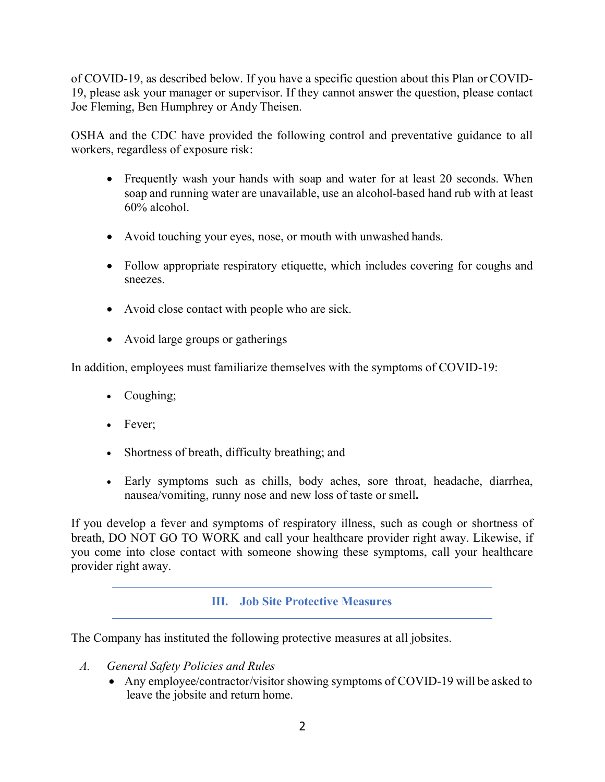of COVID-19, as described below. If you have a specific question about this Plan orCOVID-19, please ask your manager or supervisor. If they cannot answer the question, please contact Joe Fleming, Ben Humphrey or Andy Theisen.

OSHA and the CDC have provided the following control and preventative guidance to all workers, regardless of exposure risk:

- Frequently wash your hands with soap and water for at least 20 seconds. When soap and running water are unavailable, use an alcohol-based hand rub with at least 60% alcohol.
- Avoid touching your eyes, nose, or mouth with unwashed hands.
- Follow appropriate respiratory etiquette, which includes covering for coughs and sneezes.
- Avoid close contact with people who are sick.
- Avoid large groups or gatherings

In addition, employees must familiarize themselves with the symptoms of COVID-19:

- Coughing;
- Fever;
- Shortness of breath, difficulty breathing; and
- Early symptoms such as chills, body aches, sore throat, headache, diarrhea, nausea/vomiting, runny nose and new loss of taste or smell**.**

If you develop a fever and symptoms of respiratory illness, such as cough or shortness of breath, DO NOT GO TO WORK and call your healthcare provider right away. Likewise, if you come into close contact with someone showing these symptoms, call your healthcare provider right away.

## **III. Job Site Protective Measures**

The Company has instituted the following protective measures at all jobsites.

- *A. General Safety Policies and Rules*
	- Any employee/contractor/visitor showing symptoms of COVID-19 will be asked to leave the jobsite and return home.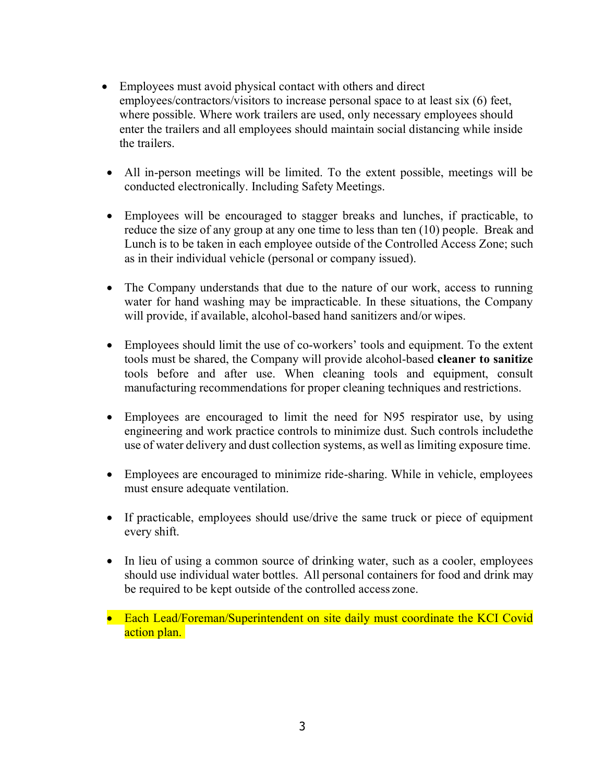- Employees must avoid physical contact with others and direct employees/contractors/visitors to increase personal space to at least six (6) feet, where possible. Where work trailers are used, only necessary employees should enter the trailers and all employees should maintain social distancing while inside the trailers.
- All in-person meetings will be limited. To the extent possible, meetings will be conducted electronically. Including Safety Meetings.
- Employees will be encouraged to stagger breaks and lunches, if practicable, to reduce the size of any group at any one time to less than ten (10) people. Break and Lunch is to be taken in each employee outside of the Controlled Access Zone; such as in their individual vehicle (personal or company issued).
- The Company understands that due to the nature of our work, access to running water for hand washing may be impracticable. In these situations, the Company will provide, if available, alcohol-based hand sanitizers and/or wipes.
- Employees should limit the use of co-workers' tools and equipment. To the extent tools must be shared, the Company will provide alcohol-based **cleaner to sanitize**  tools before and after use. When cleaning tools and equipment, consult manufacturing recommendations for proper cleaning techniques and restrictions.
- Employees are encouraged to limit the need for N95 respirator use, by using engineering and work practice controls to minimize dust. Such controls includethe use of water delivery and dust collection systems, as well as limiting exposure time.
- Employees are encouraged to minimize ride-sharing. While in vehicle, employees must ensure adequate ventilation.
- If practicable, employees should use/drive the same truck or piece of equipment every shift.
- In lieu of using a common source of drinking water, such as a cooler, employees should use individual water bottles. All personal containers for food and drink may be required to be kept outside of the controlled access zone.
- Each Lead/Foreman/Superintendent on site daily must coordinate the KCI Covid action plan.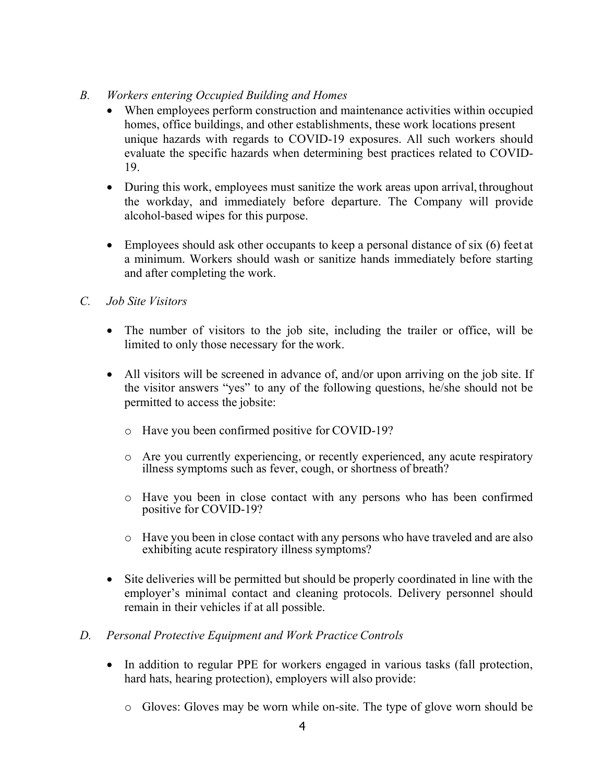- *B. Workers entering Occupied Building and Homes*
	- When employees perform construction and maintenance activities within occupied homes, office buildings, and other establishments, these work locations present unique hazards with regards to COVID-19 exposures. All such workers should evaluate the specific hazards when determining best practices related to COVID-19.
	- During this work, employees must sanitize the work areas upon arrival, throughout the workday, and immediately before departure. The Company will provide alcohol-based wipes for this purpose.
	- Employees should ask other occupants to keep a personal distance of six (6) feet at a minimum. Workers should wash or sanitize hands immediately before starting and after completing the work.
- *C. Job Site Visitors*
	- The number of visitors to the job site, including the trailer or office, will be limited to only those necessary for the work.
	- All visitors will be screened in advance of, and/or upon arriving on the job site. If the visitor answers "yes" to any of the following questions, he/she should not be permitted to access the jobsite:
		- o Have you been confirmed positive for COVID-19?
		- o Are you currently experiencing, or recently experienced, any acute respiratory illness symptoms such as fever, cough, or shortness of breath?
		- o Have you been in close contact with any persons who has been confirmed positive for COVID-19?
		- o Have you been in close contact with any persons who have traveled and are also exhibiting acute respiratory illness symptoms?
	- Site deliveries will be permitted but should be properly coordinated in line with the employer's minimal contact and cleaning protocols. Delivery personnel should remain in their vehicles if at all possible.

## *D. Personal Protective Equipment and Work Practice Controls*

- In addition to regular PPE for workers engaged in various tasks (fall protection, hard hats, hearing protection), employers will also provide:
	- o Gloves: Gloves may be worn while on-site. The type of glove worn should be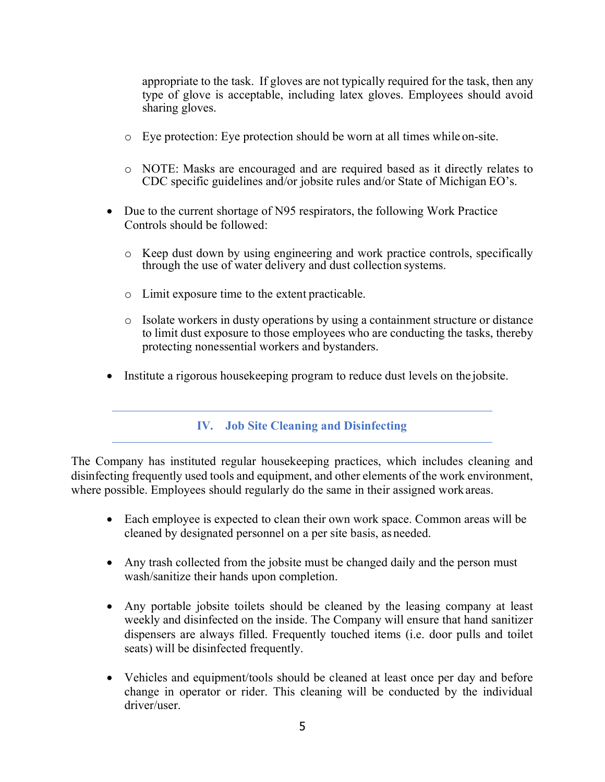appropriate to the task. If gloves are not typically required for the task, then any type of glove is acceptable, including latex gloves. Employees should avoid sharing gloves.

- o Eye protection: Eye protection should be worn at all times while on-site.
- o NOTE: Masks are encouraged and are required based as it directly relates to CDC specific guidelines and/or jobsite rules and/or State of Michigan EO's.
- Due to the current shortage of N95 respirators, the following Work Practice Controls should be followed:
	- o Keep dust down by using engineering and work practice controls, specifically through the use of water delivery and dust collection systems.
	- o Limit exposure time to the extent practicable.
	- o Isolate workers in dusty operations by using a containment structure or distance to limit dust exposure to those employees who are conducting the tasks, thereby protecting nonessential workers and bystanders.
- Institute a rigorous housekeeping program to reduce dust levels on the jobsite.

#### **IV. Job Site Cleaning and Disinfecting**

The Company has instituted regular housekeeping practices, which includes cleaning and disinfecting frequently used tools and equipment, and other elements of the work environment, where possible. Employees should regularly do the same in their assigned workareas.

- Each employee is expected to clean their own work space. Common areas will be cleaned by designated personnel on a per site basis, as needed.
- Any trash collected from the jobsite must be changed daily and the person must wash/sanitize their hands upon completion.
- Any portable jobsite toilets should be cleaned by the leasing company at least weekly and disinfected on the inside. The Company will ensure that hand sanitizer dispensers are always filled. Frequently touched items (i.e. door pulls and toilet seats) will be disinfected frequently.
- Vehicles and equipment/tools should be cleaned at least once per day and before change in operator or rider. This cleaning will be conducted by the individual driver/user.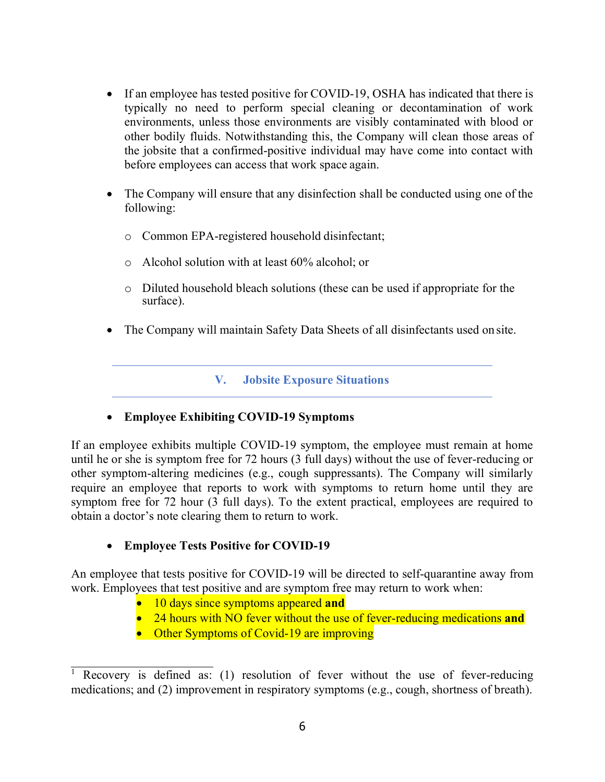- If an employee has tested positive for COVID-19, OSHA has indicated that there is typically no need to perform special cleaning or decontamination of work environments, unless those environments are visibly contaminated with blood or other bodily fluids. Notwithstanding this, the Company will clean those areas of the jobsite that a confirmed-positive individual may have come into contact with before employees can access that work space again.
- The Company will ensure that any disinfection shall be conducted using one of the following:
	- o Common EPA-registered household disinfectant;
	- o Alcohol solution with at least 60% alcohol; or
	- o Diluted household bleach solutions (these can be used if appropriate for the surface).
- The Company will maintain Safety Data Sheets of all disinfectants used on site.

#### **V. Jobsite Exposure Situations**

#### • **Employee Exhibiting COVID-19 Symptoms**

If an employee exhibits multiple COVID-19 symptom, the employee must remain at home until he or she is symptom free for 72 hours (3 full days) without the use of fever-reducing or other symptom-altering medicines (e.g., cough suppressants). The Company will similarly require an employee that reports to work with symptoms to return home until they are symptom free for 72 hour (3 full days). To the extent practical, employees are required to obtain a doctor's note clearing them to return to work.

## • **Employee Tests Positive for COVID-19**

An employee that tests positive for COVID-19 will be directed to self-quarantine away from work. Employees that test positive and are symptom free may return to work when:

- 10 days since symptoms appeared **and**
- 24 hours with NO fever without the use of fever-reducing medications **and**
- Other Symptoms of Covid-19 are improving

<sup>&</sup>lt;sup>1</sup> Recovery is defined as: (1) resolution of fever without the use of fever-reducing medications; and (2) improvement in respiratory symptoms (e.g., cough, shortness of breath).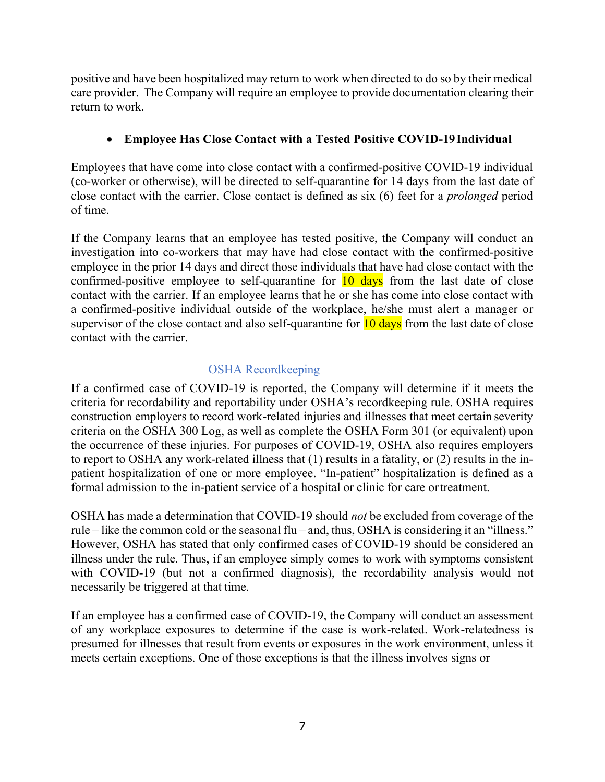positive and have been hospitalized may return to work when directed to do so by their medical care provider. The Company will require an employee to provide documentation clearing their return to work.

# • **Employee Has Close Contact with a Tested Positive COVID-19Individual**

Employees that have come into close contact with a confirmed-positive COVID-19 individual (co-worker or otherwise), will be directed to self-quarantine for 14 days from the last date of close contact with the carrier. Close contact is defined as six (6) feet for a *prolonged* period of time.

If the Company learns that an employee has tested positive, the Company will conduct an investigation into co-workers that may have had close contact with the confirmed-positive employee in the prior 14 days and direct those individuals that have had close contact with the confirmed-positive employee to self-quarantine for  $\frac{10 \text{ days}}{10 \text{ days}}$  from the last date of close contact with the carrier. If an employee learns that he or she has come into close contact with a confirmed-positive individual outside of the workplace, he/she must alert a manager or supervisor of the close contact and also self-quarantine for  $10 \text{ days}$  from the last date of close contact with the carrier.

## OSHA Recordkeeping

If a confirmed case of COVID-19 is reported, the Company will determine if it meets the criteria for recordability and reportability under OSHA's recordkeeping rule. OSHA requires construction employers to record work-related injuries and illnesses that meet certain severity criteria on the OSHA 300 Log, as well as complete the OSHA Form 301 (or equivalent) upon the occurrence of these injuries. For purposes of COVID-19, OSHA also requires employers to report to OSHA any work-related illness that (1) results in a fatality, or (2) results in the inpatient hospitalization of one or more employee. "In-patient" hospitalization is defined as a formal admission to the in-patient service of a hospital or clinic for care ortreatment.

OSHA has made a determination that COVID-19 should *not* be excluded from coverage of the rule – like the common cold or the seasonal flu – and, thus, OSHA is considering it an "illness." However, OSHA has stated that only confirmed cases of COVID-19 should be considered an illness under the rule. Thus, if an employee simply comes to work with symptoms consistent with COVID-19 (but not a confirmed diagnosis), the recordability analysis would not necessarily be triggered at that time.

If an employee has a confirmed case of COVID-19, the Company will conduct an assessment of any workplace exposures to determine if the case is work-related. Work-relatedness is presumed for illnesses that result from events or exposures in the work environment, unless it meets certain exceptions. One of those exceptions is that the illness involves signs or